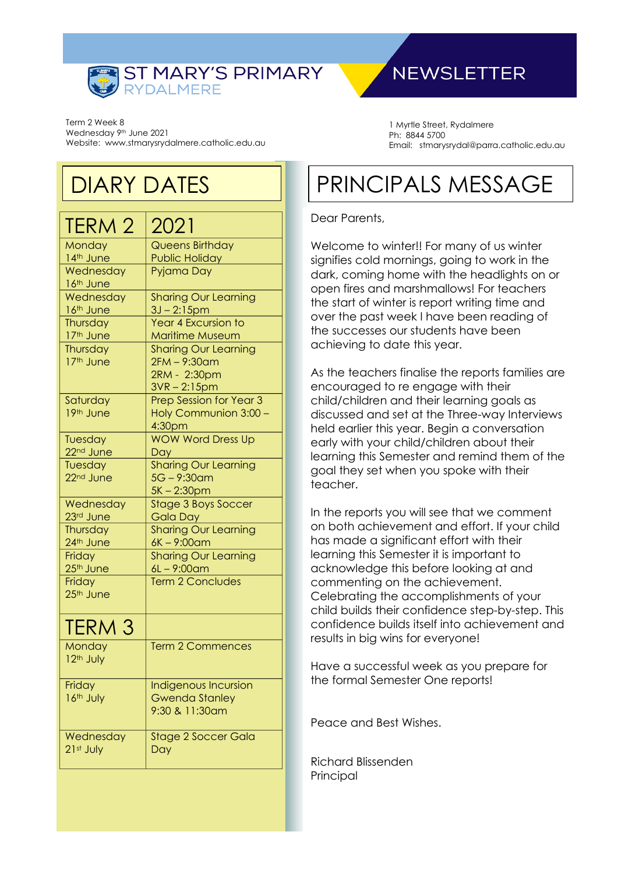

#### Term 2 Week 8 Wednesday 9<sup>th</sup> June 2021 Website: www.stmarysrydalmere.catholic.edu.au

# DIARY DATES

| <b>TERM 2</b>                    | 2021                                          |
|----------------------------------|-----------------------------------------------|
| Monday                           | <b>Queens Birthday</b>                        |
| 14th June                        | <b>Public Holiday</b>                         |
| Wednesday<br>16th June           | Pyjama Day                                    |
| Wednesday                        | <b>Sharing Our Learning</b>                   |
| 16th June<br>Thursday            | 3J-2:15pm<br><b>Year 4 Excursion to</b>       |
| 17th June                        | <b>Maritime Museum</b>                        |
| Thursday                         | <b>Sharing Our Learning</b>                   |
| 17th June                        | 2FM - 9:30am                                  |
|                                  | 2RM - 2:30pm                                  |
|                                  | $3VR - 2:15pm$                                |
| Saturday                         | Prep Session for Year 3                       |
| 19th June                        | Holy Communion 3:00 -                         |
|                                  | 4:30 <sub>pm</sub>                            |
| Tuesday                          | <b>WOW Word Dress Up</b>                      |
| 22 <sup>nd</sup> June<br>Tuesday | <b>Day</b><br><b>Sharing Our Learning</b>     |
| 22 <sup>nd</sup> June            | $5G - 9:30$ am                                |
|                                  | 5K-2:30pm                                     |
| Wednesday                        | <b>Stage 3 Boys Soccer</b>                    |
| 23rd June                        | <b>Gala Day</b>                               |
| Thursday                         | <b>Sharing Our Learning</b>                   |
| 24th June                        | $6K - 9:00$ am                                |
| Friday<br>25 <sup>th</sup> June  | <b>Sharing Our Learning</b><br>$6L - 9:00$ am |
| Friday                           | <b>Term 2 Concludes</b>                       |
| 25th June                        |                                               |
|                                  |                                               |
| <b>TERM 3</b>                    |                                               |
| Monday                           | <b>Term 2 Commences</b>                       |
| 12 <sup>th</sup> July            |                                               |
| Friday                           | Indigenous Incursion                          |
| 16th July                        | <b>Gwenda Stanley</b>                         |
|                                  | 9:30 & 11:30am                                |
| Wednesday                        | <b>Stage 2 Soccer Gala</b>                    |
| 21st July                        | Day                                           |
|                                  |                                               |

# **NEWSLETTER**

1 Myrtle Street, Rydalmere Ph: 8844 5700 Email: stmarysrydal@parra.catholic.edu.au

# PRINCIPALS MESSAGE

#### Dear Parents,

Welcome to winter!! For many of us winter signifies cold mornings, going to work in the dark, coming home with the headlights on or open fires and marshmallows! For teachers the start of winter is report writing time and over the past week I have been reading of the successes our students have been achieving to date this year.

As the teachers finalise the reports families are encouraged to re engage with their child/children and their learning goals as discussed and set at the Three-way Interviews held earlier this year. Begin a conversation early with your child/children about their learning this Semester and remind them of the goal they set when you spoke with their teacher.

In the reports you will see that we comment on both achievement and effort. If your child has made a significant effort with their learning this Semester it is important to acknowledge this before looking at and commenting on the achievement. Celebrating the accomplishments of your child builds their confidence step-by-step. This confidence builds itself into achievement and results in big wins for everyone!

Have a successful week as you prepare for the formal Semester One reports!

Peace and Best Wishes.

Richard Blissenden **Principal**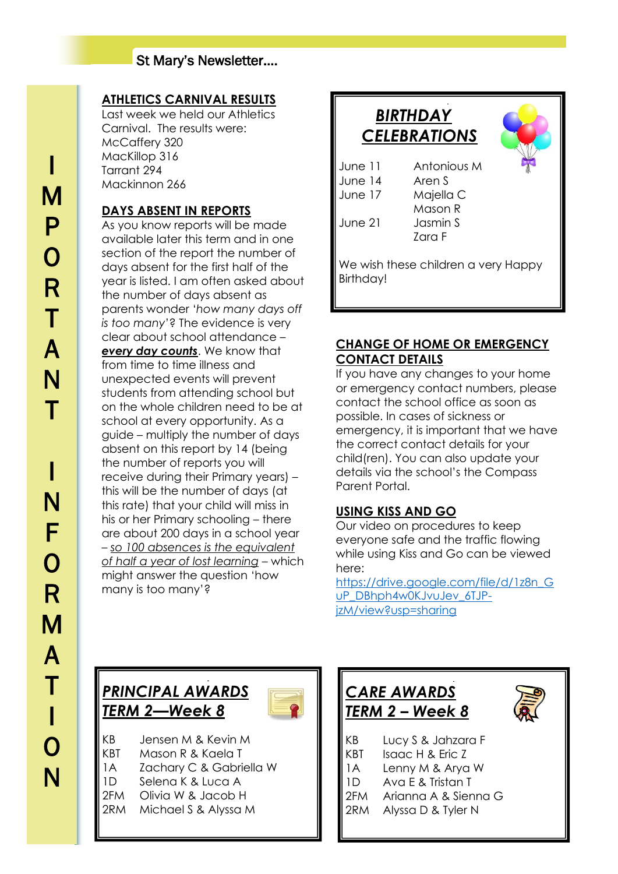## St Mary's Newsletter….

## **ATHLETICS CARNIVAL RESULTS**

Last week we held our Athletics Carnival. The results were: McCaffery 320 MacKillop 316 Tarrant 294 Mackinnon 266

## **DAYS ABSENT IN REPORTS**

As you know reports will be made available later this term and in one section of the report the number of days absent for the first half of the year is listed. I am often asked about the number of days absent as parents wonder '*how many days off is too many*'? The evidence is very clear about school attendance – *every day counts*. We know that from time to time illness and unexpected events will prevent students from attending school but on the whole children need to be at school at every opportunity. As a guide – multiply the number of days absent on this report by 14 (being the number of reports you will receive during their Primary years) – this will be the number of days (at this rate) that your child will miss in his or her Primary schooling – there are about 200 days in a school year – *so 100 absences is the equivalent of half a year of lost learning* – which might answer the question 'how many is too many'?



### **CHANGE OF HOME OR EMERGENCY CONTACT DETAILS**

If you have any changes to your home or emergency contact numbers, please contact the school office as soon as possible. In cases of sickness or emergency, it is important that we have the correct contact details for your child(ren). You can also update your details via the school's the Compass Parent Portal.

## **USING KISS AND GO**

Our video on procedures to keep everyone safe and the traffic flowing while using Kiss and Go can be viewed here:

[https://drive.google.com/file/d/1z8n\\_G](https://drive.google.com/file/d/1z8n_GuP_DBhph4w0KJvuJev_6TJP-jzM/view?usp=sharing) [uP\\_DBhph4w0KJvuJev\\_6TJP](https://drive.google.com/file/d/1z8n_GuP_DBhph4w0KJvuJev_6TJP-jzM/view?usp=sharing)[jzM/view?usp=sharing](https://drive.google.com/file/d/1z8n_GuP_DBhph4w0KJvuJev_6TJP-jzM/view?usp=sharing)

## *PRINCIPAL AWARDS TERM 2—Week 8*

KB Jensen M & Kevin M KBT Mason R & Kaela T 1A Zachary C & Gabriella W 1D Selena K & Luca A 2FM Olivia W & Jacob H 2RM Michael S & Alyssa M

 $\overline{a}$ 

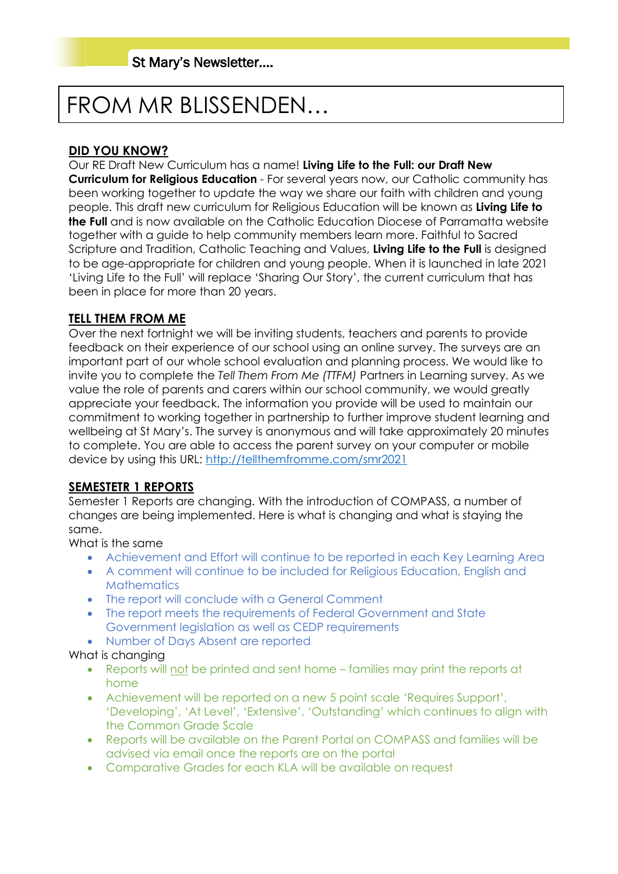# FROM MR BLISSENDEN…

## **DID YOU KNOW?**

Our RE Draft New Curriculum has a name! **Living Life to the Full: our Draft New Curriculum for Religious Education** - For several years now, our Catholic community has been working together to update the way we share our faith with children and young people. This draft new curriculum for Religious Education will be known as **Living Life to the Full** and is now available on the Catholic Education Diocese of Parramatta website together with a guide to help community members learn more. Faithful to Sacred Scripture and Tradition, Catholic Teaching and Values, **Living Life to the Full** is designed to be age-appropriate for children and young people. When it is launched in late 2021 'Living Life to the Full' will replace 'Sharing Our Story', the current curriculum that has been in place for more than 20 years.

## **TELL THEM FROM ME**

Over the next fortnight we will be inviting students, teachers and parents to provide feedback on their experience of our school using an online survey. The surveys are an important part of our whole school evaluation and planning process. We would like to invite you to complete the *Tell Them From Me (TTFM)* Partners in Learning survey. As we value the role of parents and carers within our school community, we would greatly appreciate your feedback. The information you provide will be used to maintain our commitment to working together in partnership to further improve student learning and wellbeing at St Mary's. The survey is anonymous and will take approximately 20 minutes to complete. You are able to access the parent survey on your computer or mobile device by using this URL:<http://tellthemfromme.com/smr2021>

## **SEMESTETR 1 REPORTS**

Semester 1 Reports are changing. With the introduction of COMPASS, a number of changes are being implemented. Here is what is changing and what is staying the same.

What is the same

- Achievement and Effort will continue to be reported in each Key Learning Area
- A comment will continue to be included for Religious Education, English and **Mathematics**
- The report will conclude with a General Comment
- The report meets the requirements of Federal Government and State Government legislation as well as CEDP requirements
- Number of Days Absent are reported

## What is changing

- Reports will not be printed and sent home families may print the reports at home
- Achievement will be reported on a new 5 point scale 'Requires Support', 'Developing', 'At Level', 'Extensive', 'Outstanding' which continues to align with the Common Grade Scale
- Reports will be available on the Parent Portal on COMPASS and families will be advised via email once the reports are on the portal
- Comparative Grades for each KLA will be available on request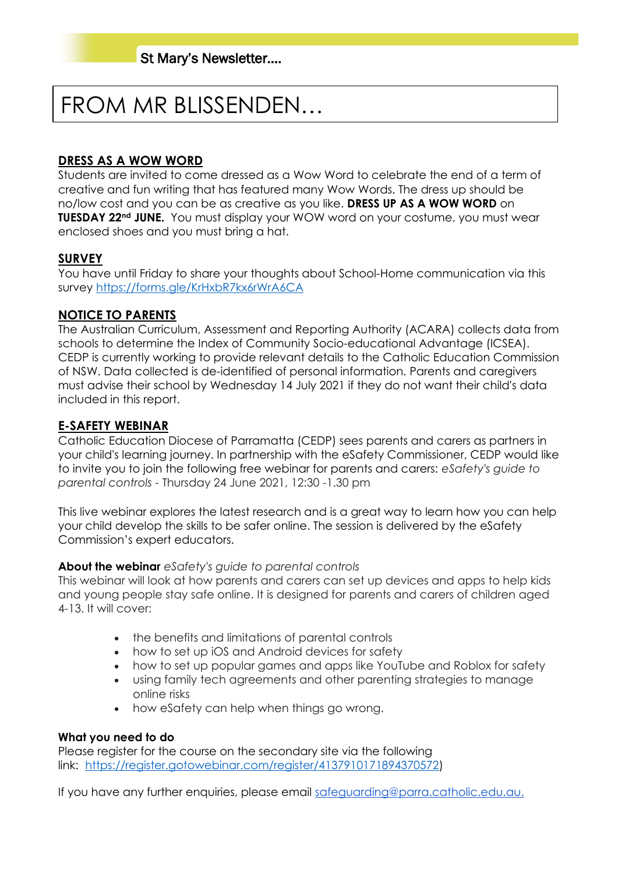# FROM MR BLISSENDEN…

### **DRESS AS A WOW WORD**

Students are invited to come dressed as a Wow Word to celebrate the end of a term of creative and fun writing that has featured many Wow Words. The dress up should be no/low cost and you can be as creative as you like. **DRESS UP AS A WOW WORD** on **TUESDAY 22nd JUNE.** You must display your WOW word on your costume, you must wear enclosed shoes and you must bring a hat.

#### **SURVEY**

You have until Friday to share your thoughts about School-Home communication via this survey<https://forms.gle/KrHxbR7kx6rWrA6CA>

#### **NOTICE TO PARENTS**

The Australian Curriculum, Assessment and Reporting Authority (ACARA) collects data from schools to determine the Index of Community Socio-educational Advantage (ICSEA). CEDP is currently working to provide relevant details to the Catholic Education Commission of NSW. Data collected is de-identified of personal information. Parents and caregivers must advise their school by Wednesday 14 July 2021 if they do not want their child's data included in this report.

#### **E-SAFETY WEBINAR**

Catholic Education Diocese of Parramatta (CEDP) sees parents and carers as partners in your child's learning journey. In partnership with the eSafety Commissioner, CEDP would like to invite you to join the following free webinar for parents and carers: *eSafety's guide to parental controls* - Thursday 24 June 2021, 12:30 -1.30 pm

This live webinar explores the latest research and is a great way to learn how you can help your child develop the skills to be safer online. The session is delivered by the eSafety Commission's expert educators.

#### **About the webinar** *eSafety's guide to parental controls*

This webinar will look at how parents and carers can set up devices and apps to help kids and young people stay safe online. It is designed for parents and carers of children aged 4-13. It will cover:

- the benefits and limitations of parental controls
- how to set up iOS and Android devices for safety
- how to set up popular games and apps like YouTube and Roblox for safety
- using family tech agreements and other parenting strategies to manage online risks
- how eSafety can help when things go wrong.

#### **What you need to do**

Please register for the course on the secondary site via the following link: [https://register.gotowebinar.com/register/4137910171894370572\)](https://register.gotowebinar.com/register/4137910171894370572)

If you have any further enquiries, please email [safeguarding@parra.catholic.edu.au.](mailto:safeguarding@parra.catholic.edu.au)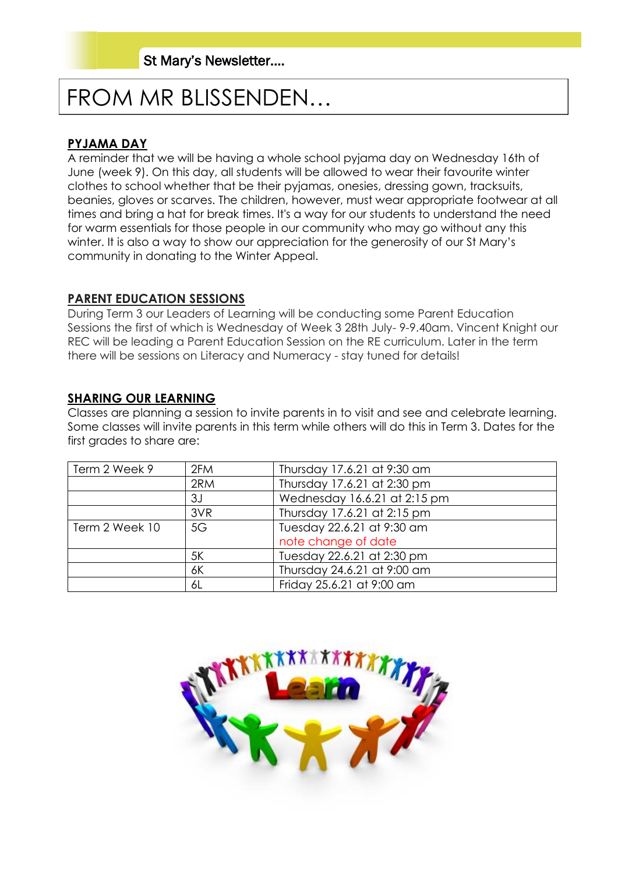# FROM MR BLISSENDEN…

#### **PYJAMA DAY**

A reminder that we will be having a whole school pyjama day on Wednesday 16th of June (week 9). On this day, all students will be allowed to wear their favourite winter clothes to school whether that be their pyjamas, onesies, dressing gown, tracksuits, beanies, gloves or scarves. The children, however, must wear appropriate footwear at all times and bring a hat for break times. It's a way for our students to understand the need for warm essentials for those people in our community who may go without any this winter. It is also a way to show our appreciation for the generosity of our St Mary's community in donating to the Winter Appeal.

#### **PARENT EDUCATION SESSIONS**

During Term 3 our Leaders of Learning will be conducting some Parent Education Sessions the first of which is Wednesday of Week 3 28th July- 9-9.40am. Vincent Knight our REC will be leading a Parent Education Session on the RE curriculum. Later in the term there will be sessions on Literacy and Numeracy - stay tuned for details!

#### **SHARING OUR LEARNING**

Classes are planning a session to invite parents in to visit and see and celebrate learning. Some classes will invite parents in this term while others will do this in Term 3. Dates for the first grades to share are:

| Term 2 Week 9  | 2FM | Thursday 17.6.21 at 9:30 am  |
|----------------|-----|------------------------------|
|                | 2RM | Thursday 17.6.21 at 2:30 pm  |
|                | 3J  | Wednesday 16.6.21 at 2:15 pm |
|                | 3VR | Thursday 17.6.21 at 2:15 pm  |
| Term 2 Week 10 | 5G  | Tuesday 22.6.21 at 9:30 am   |
|                |     | note change of date          |
|                | 5K  | Tuesday 22.6.21 at 2:30 pm   |
|                | 6K  | Thursday 24.6.21 at 9:00 am  |
|                | 6L  | Friday 25.6.21 at 9:00 am    |

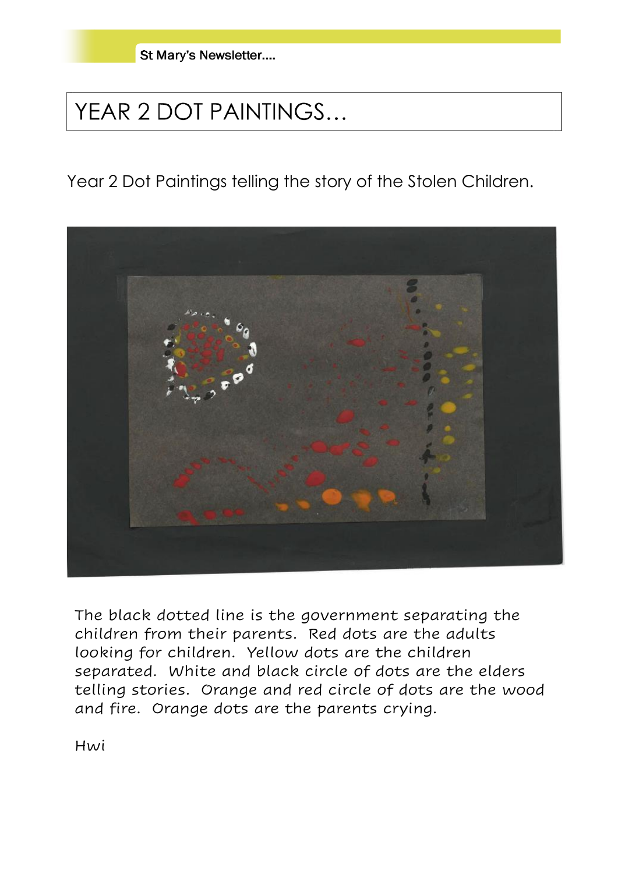St Mary's Newsletter....

# YEAR 2 DOT PAINTINGS...

Year 2 Dot Paintings telling the story of the Stolen Children.



The black dotted line is the government separating the children from their parents. Red dots are the adults looking for children. Yellow dots are the children separated. White and black circle of dots are the elders telling stories. Orange and red circle of dots are the wood and fire. Orange dots are the parents crying.

Hwi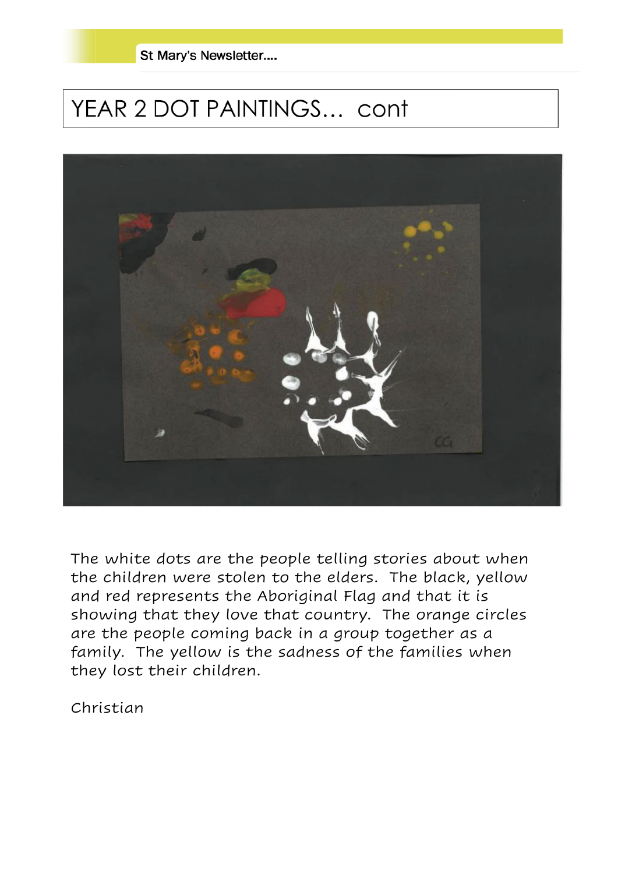St Mary's Newsletter....

# YEAR 2 DOT PAINTINGS... cont



The white dots are the people telling stories about when the children were stolen to the elders. The black, yellow and red represents the Aboriginal Flag and that it is showing that they love that country. The orange circles are the people coming back in a group together as a family. The yellow is the sadness of the families when they lost their children.

Christian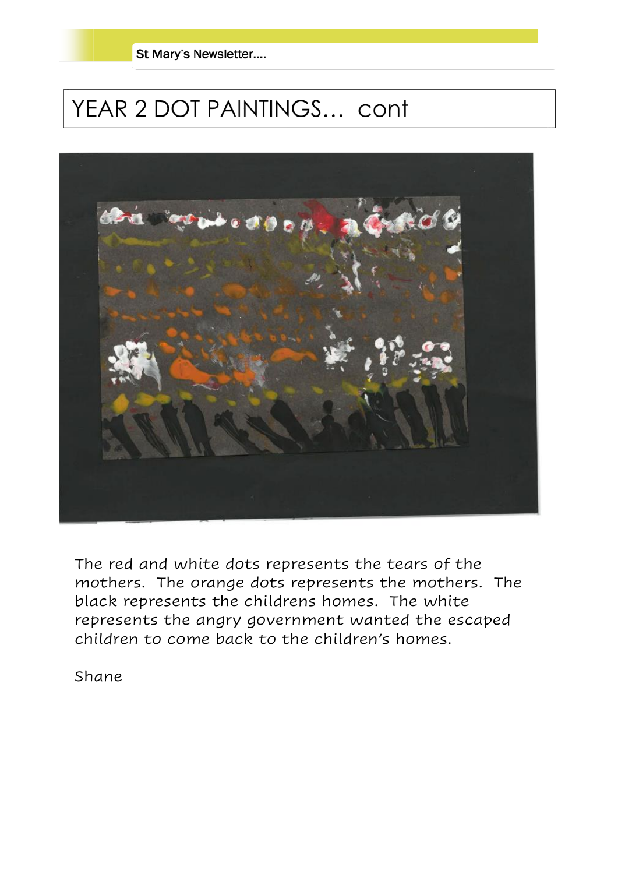

# YEAR 2 DOT PAINTINGS... cont



The red and white dots represents the tears of the mothers. The orange dots represents the mothers. The black represents the childrens homes. The white represents the angry government wanted the escaped children to come back to the children's homes.

Shane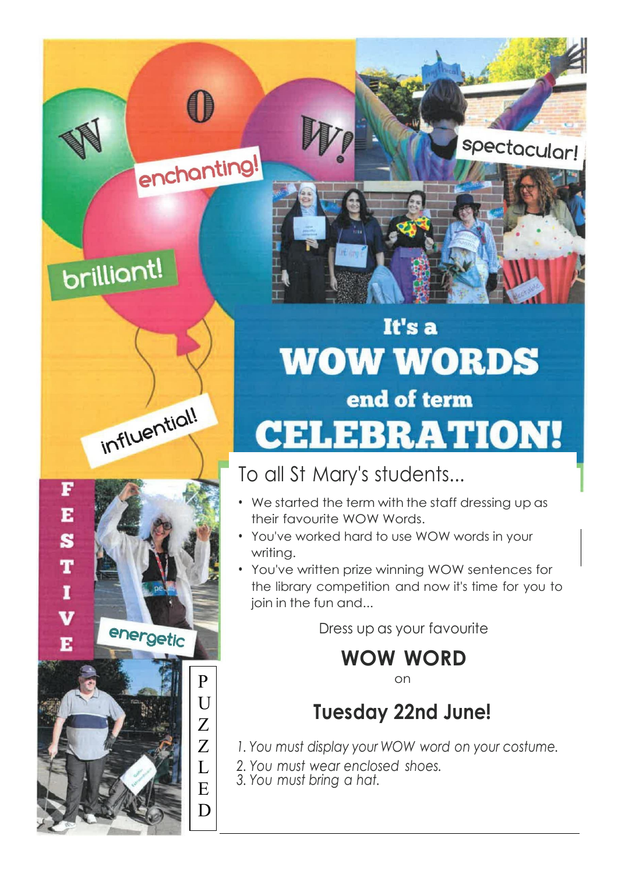# brilliant!

E

S

T

 $\mathbf{I}$ 

V

E



enchanting!

# energetic P  $U$ Z Z  $\mathbf{L}$ E

D

# It's a **WOW WORDS** end of term **CELEBRATION!**

spectacular!

# To all St Mary's students...

- We started the term with the staff dressing up as their favourite WOW Words.
- You've worked hard to use WOW words in your writing.
- You've written prize winning WOW sentences for the library competition and now it's time for you to join in the fun and...

Dress up as your favourite

**WOW WORD**

on

# **Tuesday 22nd June!**

- *1. You must display your WOW word on your costume.*
- *2. You must wear enclosed shoes.*
- *3. You must bring a hat.*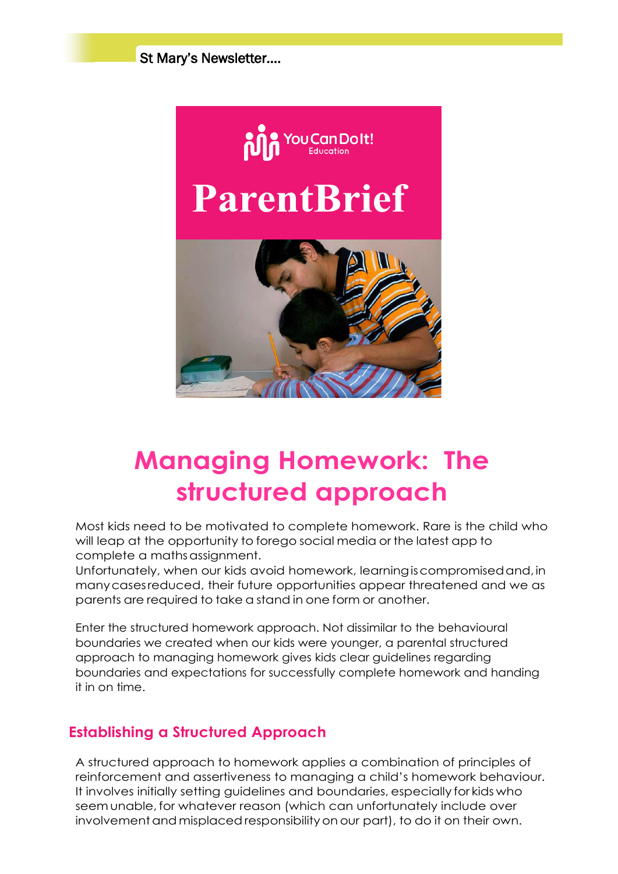St Mary's Newsletter….



# **Managing Homework: The structured approach**

Most kids need to be motivated to complete homework. Rare is the child who will leap at the opportunity to forego social media or the latest app to complete a mathsassignment.

Unfortunately, when our kids avoid homework, learningiscompromisedand,in manycasesreduced, their future opportunities appear threatened and we as parents are required to take a stand in one form or another.

Enter the structured homework approach. Not dissimilar to the behavioural boundaries we created when our kids were younger, a parental structured approach to managing homework gives kids clear guidelines regarding boundaries and expectations for successfully complete homework and handing it in on time.

## **Establishing a Structured Approach**

A structured approach to homework applies a combination of principles of reinforcement and assertiveness to managing a child's homework behaviour. It involves initially setting guidelines and boundaries, especially for kids who seem unable, for whatever reason (which can unfortunately include over involvement and misplaced responsibility on our part), to do it on their own.